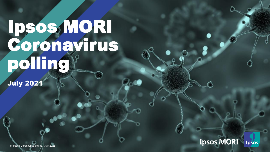# Ipsos, MORI Coronavirus polling

July 2021

**Ipsos MORI** Ipsos

© Ipsos | Doc Name | Month Year | Version # | Public | Internal/Client Use Only | Strictly Confidential © Ipsos | Coronavirus polling | July 2021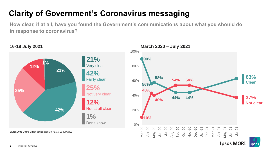## **Clarity of Government's Coronavirus messaging**

**How clear, if at all, have you found the Government's communications about what you should do in response to coronavirus?**



**Ipsos MORI** 

Ipsos

**16-18 July 2021**

**Base: 1,005** Online British adults aged 18-75, 16-18 July 2021

© Ipsos | July 2021 2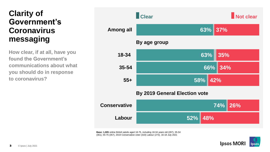#### **Clarity of Government's Coronavirus messaging**

**How clear, if at all, have you found the Government's communications about what you should do in response to coronavirus?**



**Base: 1,005** online British adults aged 18-75, including 18-34 years old (287), 35-54 (361), 55-75 (357), 2019 Conservative voter (319) Labour (273), 16-18 July 2021

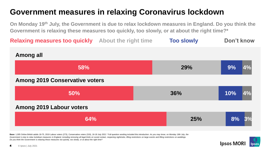#### **Government measures in relaxing Coronavirus lockdown**

**On Monday 19th July, the Government is due to relax lockdown measures in England. Do you think the Government is relaxing these measures too quickly, too slowly, or at about the right time?\***

**Too slowly Relaxing measures too quickly About the right time 64% 50% 58% 25% 36% 29% 8% 10% 9% 3% 4% 4% Among all Among 2019 Conservative voters Among 2019 Labour voters Don't know**

**Base:** 1,005 Online British adults 18-75, 2019 Labour voters (273), Conservative voters (319), 16-18 July 2021 \* Full question wording included this introduction: *As you may know, on Monday 19th July, the*  Government is due to relax lockdown measures in England, including removing all legal limits on social contact, reopening nightclubs, lifting restrictions on large events and lifting restrictions on weddings. *Do you think the Government is relaxing these measures too quickly, too slowly, or at about the right time?*

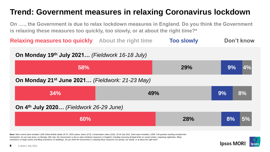### **Trend: Government measures in relaxing Coronavirus lockdown**

**On …., the Government is due to relax lockdown measures in England. Do you think the Government is relaxing these measures too quickly, too slowly, or at about the right time?\***

**Too slowly Relaxing measures too quickly About the right time Don't know**

| On Monday 19th July 2021 (Fieldwork 16-18 July)             |            |          |
|-------------------------------------------------------------|------------|----------|
| 58%                                                         | 29%        | 9%       |
| On Monday 21 <sup>st</sup> June 2021 (Fieldwork: 21-23 May) |            |          |
| 34%                                                         | 49%        | 9%<br>8% |
| On 4 <sup>th</sup> July 2020 (Fieldwork 26-29 June)         |            |          |
| 60%                                                         | <b>28%</b> | 5%<br>8% |

**Base:** Most recent wave included 1,005 Online British adults 18-75, 2019 Labour voters (273), Conservative voters (319), 16-18 July 2021. Each wave included c.1000. Full question wording included this introduction: *As you may know, on Monday 19th July, the Government is due to relax lockdown measures in England, including removing all legal limits on social contact, reopening nightclubs, lifting restrictions on large events and lifting restrictions on weddings. Do you think the Government is relaxing these measures too quickly, too slowly, or at about the right time?*

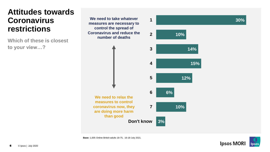#### **Attitudes towards Coronavirus restrictions**

**Which of these is closest to your view…?**

**3 2 We need to take whatever 1 measures are necessary to control the spread of Coronavirus and reduce the number of deaths**





**30%**

**Base:** 1,005 Online British adults 18-75, 16-18 July 2021.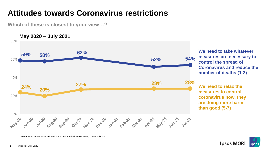#### **Attitudes towards Coronavirus restrictions**

**Which of these is closest to your view…?**

**May 2020 – July 2021** 80% **We need to take whatever 59% 58% 62% measures are necessary to 52% 54%** 60% **control the spread of Coronavirus and reduce the number of deaths (1-3)** 40% **27% 28% 28% We need to relax the 24% 20% measures to control**  20% **coronavirus now, they are doing more harm than good (5-7)** 0% May-20 July20 gel 20 det20 dec20 san21 gelp21 and plain and lunch july21 yell

**Base:** Most recent wave included 1,005 Online British adults 18-75, 16-18 July 2021.

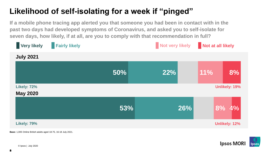#### **Likelihood of self-isolating for a week if "pinged"**

**If a mobile phone tracing app alerted you that someone you had been in contact with in the past two days had developed symptoms of Coronavirus, and asked you to self-isolate for seven days, how likely, if at all, are you to comply with that recommendation in full?** 



**Base:** 1,005 Online British adults aged 18-75, 16-18 July 2021.

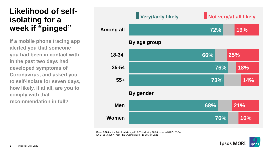#### **Likelihood of selfisolating for a week if "pinged"**

**If a mobile phone tracing app alerted you that someone you had been in contact with in the past two days had developed symptoms of Coronavirus, and asked you to self-isolate for seven days, how likely, if at all, are you to comply with that recommendation in full?** 

#### **76% 68% 73% 76% 66% 72% 16% 21% 14% 18% 25% 19% Women Men 55+ 35-54 18-34 Among all By gender By age group Very/fairly likely Not very/at all likely**

**Base: 1,005** online British adults aged 18-75, including 18-34 years old (287), 35-54 (361), 55-75 (357), men (471), women (534), 16-18 July 2021